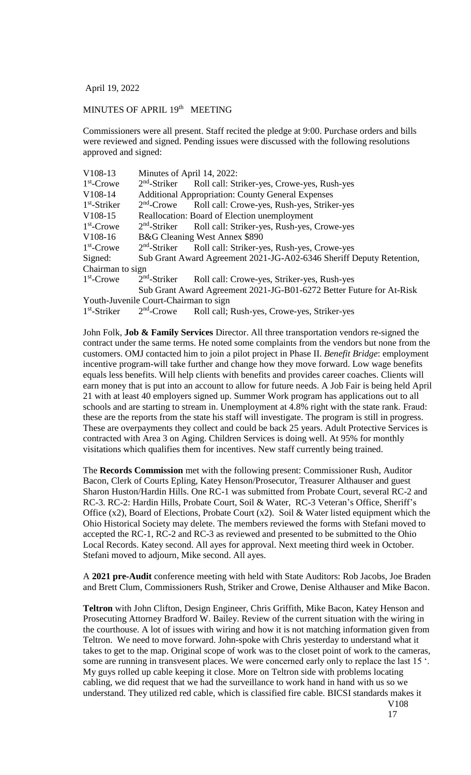April 19, 2022

## MINUTES OF APRIL 19<sup>th</sup> MEETING

Commissioners were all present. Staff recited the pledge at 9:00. Purchase orders and bills were reviewed and signed. Pending issues were discussed with the following resolutions approved and signed:

| V108-13          | Minutes of April 14, 2022:                                           |                                                                      |
|------------------|----------------------------------------------------------------------|----------------------------------------------------------------------|
| $1st$ -Crowe     |                                                                      | 2 <sup>nd</sup> -Striker Roll call: Striker-yes, Crowe-yes, Rush-yes |
| V108-14          | <b>Additional Appropriation: County General Expenses</b>             |                                                                      |
| $1st$ -Striker   | $2nd$ -Crowe                                                         | Roll call: Crowe-yes, Rush-yes, Striker-yes                          |
| $V108-15$        | Reallocation: Board of Election unemployment                         |                                                                      |
| $1st$ -Crowe     |                                                                      | $2nd$ -Striker Roll call: Striker-yes, Rush-yes, Crowe-yes           |
| V108-16          | B&G Cleaning West Annex \$890                                        |                                                                      |
| $1st$ -Crowe     | $2nd$ -Striker                                                       | Roll call: Striker-yes, Rush-yes, Crowe-yes                          |
| Signed:          | Sub Grant Award Agreement 2021-JG-A02-6346 Sheriff Deputy Retention, |                                                                      |
| Chairman to sign |                                                                      |                                                                      |
| $1st$ -Crowe     | $2nd$ -Striker                                                       | Roll call: Crowe-yes, Striker-yes, Rush-yes                          |
|                  | Sub Grant Award Agreement 2021-JG-B01-6272 Better Future for At-Risk |                                                                      |
|                  | Youth-Juvenile Court-Chairman to sign                                |                                                                      |
| $1st$ -Striker   | $2nd$ -Crowe                                                         | Roll call; Rush-yes, Crowe-yes, Striker-yes                          |

John Folk, **Job & Family Services** Director. All three transportation vendors re-signed the contract under the same terms. He noted some complaints from the vendors but none from the customers. OMJ contacted him to join a pilot project in Phase II. *Benefit Bridge*: employment incentive program-will take further and change how they move forward. Low wage benefits equals less benefits. Will help clients with benefits and provides career coaches. Clients will earn money that is put into an account to allow for future needs. A Job Fair is being held April 21 with at least 40 employers signed up. Summer Work program has applications out to all schools and are starting to stream in. Unemployment at 4.8% right with the state rank. Fraud: these are the reports from the state his staff will investigate. The program is still in progress. These are overpayments they collect and could be back 25 years. Adult Protective Services is contracted with Area 3 on Aging. Children Services is doing well. At 95% for monthly visitations which qualifies them for incentives. New staff currently being trained.

The **Records Commission** met with the following present: Commissioner Rush, Auditor Bacon, Clerk of Courts Epling, Katey Henson/Prosecutor, Treasurer Althauser and guest Sharon Huston/Hardin Hills. One RC-1 was submitted from Probate Court, several RC-2 and RC-3. RC-2: Hardin Hills, Probate Court, Soil & Water, RC-3 Veteran's Office, Sheriff's Office (x2), Board of Elections, Probate Court (x2). Soil & Water listed equipment which the Ohio Historical Society may delete. The members reviewed the forms with Stefani moved to accepted the RC-1, RC-2 and RC-3 as reviewed and presented to be submitted to the Ohio Local Records. Katey second. All ayes for approval. Next meeting third week in October. Stefani moved to adjourn, Mike second. All ayes.

A **2021 pre-Audit** conference meeting with held with State Auditors: Rob Jacobs, Joe Braden and Brett Clum, Commissioners Rush, Striker and Crowe, Denise Althauser and Mike Bacon.

**Teltron** with John Clifton, Design Engineer, Chris Griffith, Mike Bacon, Katey Henson and Prosecuting Attorney Bradford W. Bailey. Review of the current situation with the wiring in the courthouse. A lot of issues with wiring and how it is not matching information given from Teltron. We need to move forward. John-spoke with Chris yesterday to understand what it takes to get to the map. Original scope of work was to the closet point of work to the cameras, some are running in transvesent places. We were concerned early only to replace the last 15  $\degree$ . My guys rolled up cable keeping it close. More on Teltron side with problems locating cabling, we did request that we had the surveillance to work hand in hand with us so we understand. They utilized red cable, which is classified fire cable. BICSI standards makes it V108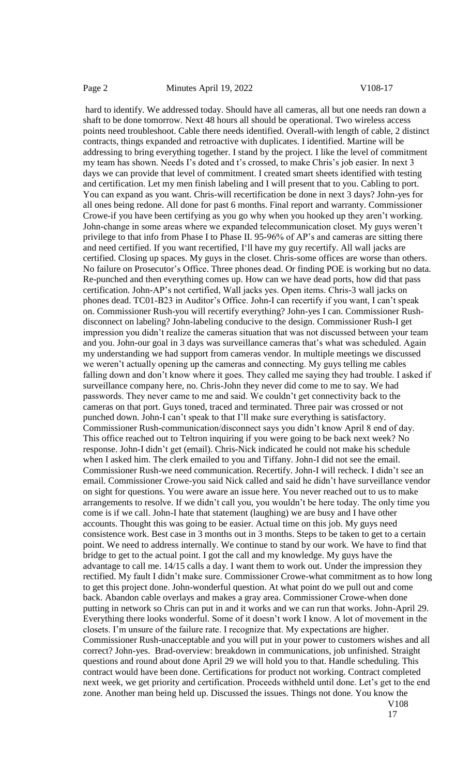hard to identify. We addressed today. Should have all cameras, all but one needs ran down a shaft to be done tomorrow. Next 48 hours all should be operational. Two wireless access points need troubleshoot. Cable there needs identified. Overall-with length of cable, 2 distinct contracts, things expanded and retroactive with duplicates. I identified. Martine will be addressing to bring everything together. I stand by the project. I like the level of commitment my team has shown. Needs I's doted and t's crossed, to make Chris's job easier. In next 3 days we can provide that level of commitment. I created smart sheets identified with testing and certification. Let my men finish labeling and I will present that to you. Cabling to port. You can expand as you want. Chris-will recertification be done in next 3 days? John-yes for all ones being redone. All done for past 6 months. Final report and warranty. Commissioner Crowe-if you have been certifying as you go why when you hooked up they aren't working. John-change in some areas where we expanded telecommunication closet. My guys weren't privilege to that info from Phase I to Phase II. 95-96% of AP's and cameras are sitting there and need certified. If you want recertified, I'll have my guy recertify. All wall jacks are certified. Closing up spaces. My guys in the closet. Chris-some offices are worse than others. No failure on Prosecutor's Office. Three phones dead. Or finding POE is working but no data. Re-punched and then everything comes up. How can we have dead ports, how did that pass certification. John-AP's not certified, Wall jacks yes. Open items. Chris-3 wall jacks on phones dead. TC01-B23 in Auditor's Office. John-I can recertify if you want, I can't speak on. Commissioner Rush-you will recertify everything? John-yes I can. Commissioner Rushdisconnect on labeling? John-labeling conducive to the design. Commissioner Rush-I get impression you didn't realize the cameras situation that was not discussed between your team and you. John-our goal in 3 days was surveillance cameras that's what was scheduled. Again my understanding we had support from cameras vendor. In multiple meetings we discussed we weren't actually opening up the cameras and connecting. My guys telling me cables falling down and don't know where it goes. They called me saying they had trouble. I asked if surveillance company here, no. Chris-John they never did come to me to say. We had passwords. They never came to me and said. We couldn't get connectivity back to the cameras on that port. Guys toned, traced and terminated. Three pair was crossed or not punched down. John-I can't speak to that I'll make sure everything is satisfactory. Commissioner Rush-communication/disconnect says you didn't know April 8 end of day. This office reached out to Teltron inquiring if you were going to be back next week? No response. John-I didn't get (email). Chris-Nick indicated he could not make his schedule when I asked him. The clerk emailed to you and Tiffany. John-I did not see the email. Commissioner Rush-we need communication. Recertify. John-I will recheck. I didn't see an email. Commissioner Crowe-you said Nick called and said he didn't have surveillance vendor on sight for questions. You were aware an issue here. You never reached out to us to make arrangements to resolve. If we didn't call you, you wouldn't be here today. The only time you come is if we call. John-I hate that statement (laughing) we are busy and I have other accounts. Thought this was going to be easier. Actual time on this job. My guys need consistence work. Best case in 3 months out in 3 months. Steps to be taken to get to a certain point. We need to address internally. We continue to stand by our work. We have to find that bridge to get to the actual point. I got the call and my knowledge. My guys have the advantage to call me. 14/15 calls a day. I want them to work out. Under the impression they rectified. My fault I didn't make sure. Commissioner Crowe-what commitment as to how long to get this project done. John-wonderful question. At what point do we pull out and come back. Abandon cable overlays and makes a gray area. Commissioner Crowe-when done putting in network so Chris can put in and it works and we can run that works. John-April 29. Everything there looks wonderful. Some of it doesn't work I know. A lot of movement in the closets. I'm unsure of the failure rate. I recognize that. My expectations are higher. Commissioner Rush-unacceptable and you will put in your power to customers wishes and all correct? John-yes. Brad-overview: breakdown in communications, job unfinished. Straight questions and round about done April 29 we will hold you to that. Handle scheduling. This contract would have been done. Certifications for product not working. Contract completed next week, we get priority and certification. Proceeds withheld until done. Let's get to the end zone. Another man being held up. Discussed the issues. Things not done. You know the V108

17